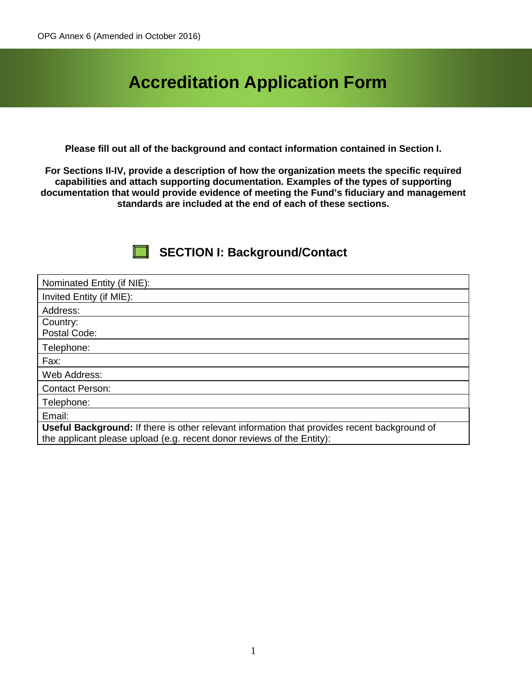# **Accreditation Application Form**

**Please fill out all of the background and contact information contained in Section I.**

**For Sections II-IV, provide a description of how the organization meets the specific required capabilities and attach supporting documentation. Examples of the types of supporting documentation that would provide evidence of meeting the Fund's fiduciary and management standards are included at the end of each of these sections.**

### **SECTION I: Background/Contact**

| Nominated Entity (if NIE):                                                                                                                                                    |
|-------------------------------------------------------------------------------------------------------------------------------------------------------------------------------|
| Invited Entity (if MIE):                                                                                                                                                      |
| Address:                                                                                                                                                                      |
| Country:<br>Postal Code:                                                                                                                                                      |
| Telephone:                                                                                                                                                                    |
| Fax:                                                                                                                                                                          |
| Web Address:                                                                                                                                                                  |
| <b>Contact Person:</b>                                                                                                                                                        |
| Telephone:                                                                                                                                                                    |
| Email:                                                                                                                                                                        |
| <b>Useful Background:</b> If there is other relevant information that provides recent background of<br>the applicant please upload (e.g. recent donor reviews of the Entity): |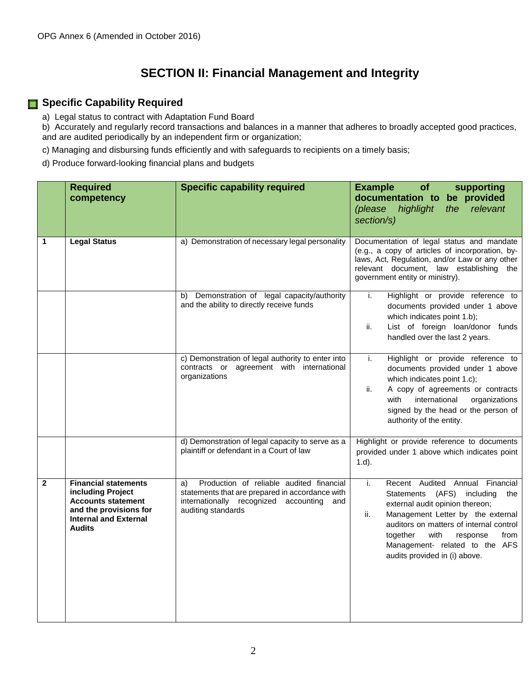### **SECTION II: Financial Management and Integrity**

#### **Specific Capability Required**

a) Legal status to contract with Adaptation Fund Board

b) Accurately and regularly record transactions and balances in a manner that adheres to broadly accepted good practices, and are audited periodically by an independent firm or organization;

c) Managing and disbursing funds efficiently and with safeguards to recipients on a timely basis;

d) Produce forward-looking financial plans and budgets

|              | <b>Required</b><br>competency                                                                                                                            | <b>Specific capability required</b>                                                                                                                                     | <b>Example</b><br>of<br>supporting<br>documentation to<br>be provided                                                                                                                                                                                                                                              |
|--------------|----------------------------------------------------------------------------------------------------------------------------------------------------------|-------------------------------------------------------------------------------------------------------------------------------------------------------------------------|--------------------------------------------------------------------------------------------------------------------------------------------------------------------------------------------------------------------------------------------------------------------------------------------------------------------|
|              |                                                                                                                                                          |                                                                                                                                                                         | the relevant<br>(please<br>highlight<br>section/s)                                                                                                                                                                                                                                                                 |
| 1            | <b>Legal Status</b>                                                                                                                                      | a) Demonstration of necessary legal personality                                                                                                                         | Documentation of legal status and mandate<br>(e.g., a copy of articles of incorporation, by-<br>laws, Act, Regulation, and/or Law or any other<br>relevant document, law establishing the<br>government entity or ministry).                                                                                       |
|              |                                                                                                                                                          | Demonstration of legal capacity/authority<br>b)<br>and the ability to directly receive funds                                                                            | Highlight or provide reference to<br>i.<br>documents provided under 1 above<br>which indicates point 1.b);<br>List of foreign loan/donor funds<br>ii.<br>handled over the last 2 years.                                                                                                                            |
|              |                                                                                                                                                          | c) Demonstration of legal authority to enter into<br>contracts or agreement with international<br>organizations                                                         | Highlight or provide reference to<br>i.<br>documents provided under 1 above<br>which indicates point 1.c);<br>ii.<br>A copy of agreements or contracts<br>with<br>international<br>organizations<br>signed by the head or the person of<br>authority of the entity.                                                |
|              |                                                                                                                                                          | d) Demonstration of legal capacity to serve as a<br>plaintiff or defendant in a Court of law                                                                            | Highlight or provide reference to documents<br>provided under 1 above which indicates point<br>$1.d$ ).                                                                                                                                                                                                            |
| $\mathbf{2}$ | <b>Financial statements</b><br>including Project<br><b>Accounts statement</b><br>and the provisions for<br><b>Internal and External</b><br><b>Audits</b> | Production of reliable audited financial<br>a)<br>statements that are prepared in accordance with<br>internationally recognized accounting<br>and<br>auditing standards | i.<br>Recent Audited Annual Financial<br>(AFS) including<br>Statements<br>the<br>external audit opinion thereon;<br>Management Letter by the external<br>ii.<br>auditors on matters of internal control<br>together<br>with<br>response<br>from<br>Management- related to the AFS<br>audits provided in (i) above. |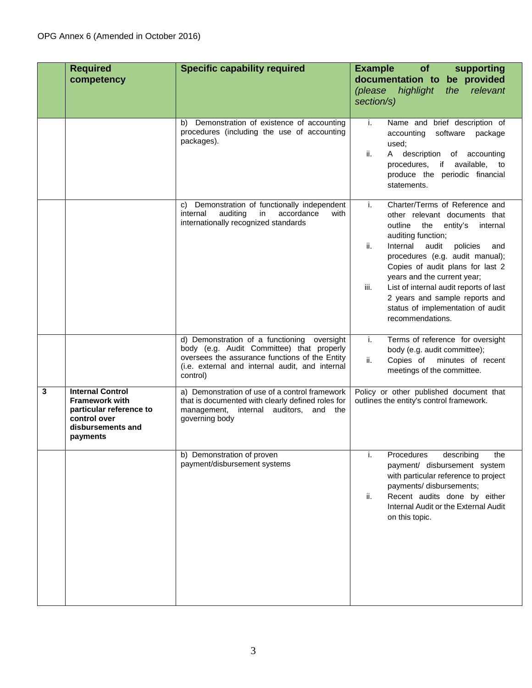|   | <b>Required</b><br>competency                                                                                                | <b>Specific capability required</b>                                                                                                                                                                       | <b>Example</b><br><b>of</b><br>supporting<br>documentation to be provided<br>highlight<br>the<br>relevant<br>(please                                                                                                                                                                                                                                                                                                                    |
|---|------------------------------------------------------------------------------------------------------------------------------|-----------------------------------------------------------------------------------------------------------------------------------------------------------------------------------------------------------|-----------------------------------------------------------------------------------------------------------------------------------------------------------------------------------------------------------------------------------------------------------------------------------------------------------------------------------------------------------------------------------------------------------------------------------------|
|   |                                                                                                                              |                                                                                                                                                                                                           | section/s)                                                                                                                                                                                                                                                                                                                                                                                                                              |
|   |                                                                                                                              | b) Demonstration of existence of accounting<br>procedures (including the use of accounting<br>packages).                                                                                                  | Name and brief description of<br>j.<br>accounting<br>software<br>package<br>used;<br>ii.<br>A description of accounting<br>procedures, if available, to<br>produce the periodic financial<br>statements.                                                                                                                                                                                                                                |
|   |                                                                                                                              | Demonstration of functionally independent<br>C)<br>accordance<br>internal<br>auditing<br>in<br>with<br>internationally recognized standards                                                               | Charter/Terms of Reference and<br>i.<br>other relevant documents that<br>entity's<br>outline<br>the<br>internal<br>auditing function;<br>ii.<br>Internal<br>audit<br>policies<br>and<br>procedures (e.g. audit manual);<br>Copies of audit plans for last 2<br>years and the current year;<br>List of internal audit reports of last<br>iii.<br>2 years and sample reports and<br>status of implementation of audit<br>recommendations. |
|   |                                                                                                                              | d) Demonstration of a functioning oversight<br>body (e.g. Audit Committee) that properly<br>oversees the assurance functions of the Entity<br>(i.e. external and internal audit, and internal<br>control) | Terms of reference for oversight<br>i.<br>body (e.g. audit committee);<br>ii.<br>Copies of<br>minutes of recent<br>meetings of the committee.                                                                                                                                                                                                                                                                                           |
| 3 | <b>Internal Control</b><br><b>Framework with</b><br>particular reference to<br>control over<br>disbursements and<br>payments | a) Demonstration of use of a control framework<br>that is documented with clearly defined roles for<br>management, internal auditors, and the<br>governing body                                           | Policy or other published document that<br>outlines the entity's control framework.                                                                                                                                                                                                                                                                                                                                                     |
|   |                                                                                                                              | b) Demonstration of proven<br>payment/disbursement systems                                                                                                                                                | describing<br>i.<br>Procedures<br>the<br>payment/ disbursement system<br>with particular reference to project<br>payments/ disbursements;<br>Recent audits done by either<br>ii.<br>Internal Audit or the External Audit<br>on this topic.                                                                                                                                                                                              |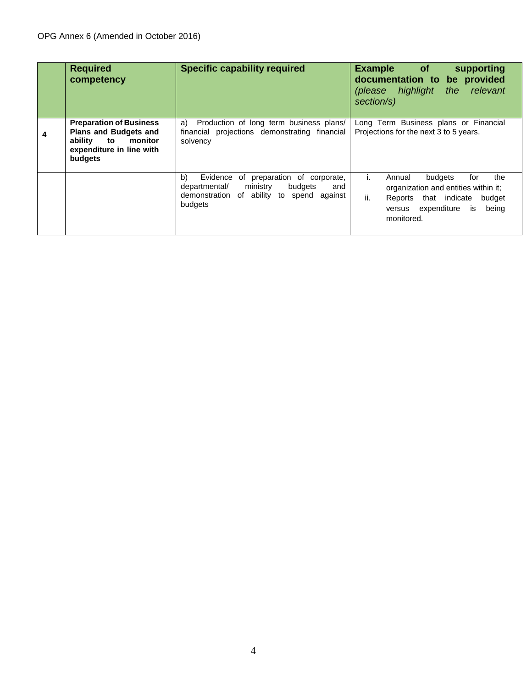|   | <b>Required</b><br>competency                                                                                               | <b>Specific capability required</b>                                                                                                                | <b>Example</b><br><b>of</b><br>supporting<br>documentation to be provided<br>(please highlight<br>the relevant<br>section/s)                                         |
|---|-----------------------------------------------------------------------------------------------------------------------------|----------------------------------------------------------------------------------------------------------------------------------------------------|----------------------------------------------------------------------------------------------------------------------------------------------------------------------|
| 4 | <b>Preparation of Business</b><br><b>Plans and Budgets and</b><br>ability to monitor<br>expenditure in line with<br>budgets | a)<br>Production of long term business plans/<br>financial projections demonstrating financial<br>solvency                                         | Long Term Business plans or Financial<br>Projections for the next 3 to 5 years.                                                                                      |
|   |                                                                                                                             | b)<br>Evidence of preparation of corporate,<br>budgets<br>ministry<br>departmental/<br>and<br>demonstration of ability to spend against<br>budgets | budgets<br>the<br>Annual<br>for<br>organization and entities within it;<br>ii.<br>Reports that indicate budget<br>expenditure<br>being<br>is<br>versus<br>monitored. |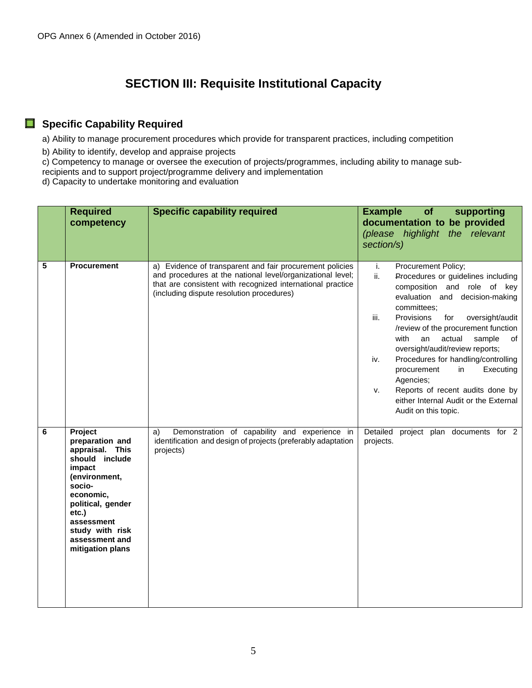### **SECTION III: Requisite Institutional Capacity**

#### **Specific Capability Required**

a) Ability to manage procurement procedures which provide for transparent practices, including competition

b) Ability to identify, develop and appraise projects

c) Competency to manage or oversee the execution of projects/programmes, including ability to manage sub-

recipients and to support project/programme delivery and implementation

d) Capacity to undertake monitoring and evaluation

|                         | <b>Required</b><br>competency                                                                                                                                                                                          | <b>Specific capability required</b>                                                                                                                                                                                               | <b>Example</b><br>of<br>supporting<br>documentation to be provided<br>(please highlight the relevant<br>section/s)                                                                                                                                                                                                                                                                                                                                                                                                               |
|-------------------------|------------------------------------------------------------------------------------------------------------------------------------------------------------------------------------------------------------------------|-----------------------------------------------------------------------------------------------------------------------------------------------------------------------------------------------------------------------------------|----------------------------------------------------------------------------------------------------------------------------------------------------------------------------------------------------------------------------------------------------------------------------------------------------------------------------------------------------------------------------------------------------------------------------------------------------------------------------------------------------------------------------------|
| $\overline{\mathbf{5}}$ | <b>Procurement</b>                                                                                                                                                                                                     | a) Evidence of transparent and fair procurement policies<br>and procedures at the national level/organizational level;<br>that are consistent with recognized international practice<br>(including dispute resolution procedures) | i.<br>Procurement Policy;<br>ii.<br>Procedures or guidelines including<br>composition and role of key<br>evaluation and decision-making<br>committees;<br>Provisions<br>for<br>oversight/audit<br>iii.<br>/review of the procurement function<br>with<br>an<br>actual<br>sample<br>of<br>oversight/audit/review reports;<br>Procedures for handling/controlling<br>iv.<br>in<br>Executing<br>procurement<br>Agencies;<br>Reports of recent audits done by<br>v.<br>either Internal Audit or the External<br>Audit on this topic. |
| 6                       | Project<br>preparation and<br>appraisal. This<br>should include<br>impact<br>(environment,<br>socio-<br>economic,<br>political, gender<br>etc.)<br>assessment<br>study with risk<br>assessment and<br>mitigation plans | Demonstration of capability and experience in<br>a)<br>identification and design of projects (preferably adaptation<br>projects)                                                                                                  | Detailed<br>project plan documents for 2<br>projects.                                                                                                                                                                                                                                                                                                                                                                                                                                                                            |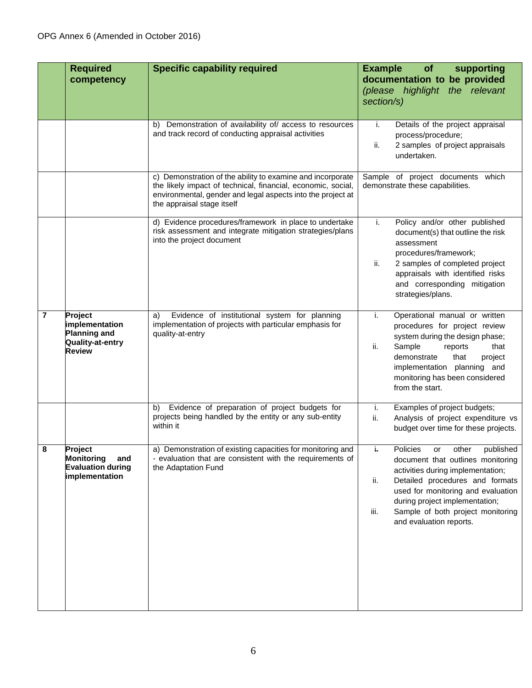|   | <b>Required</b><br>competency                                                                | <b>Specific capability required</b>                                                                                                                                                                                     | <b>Example</b><br>of<br>supporting<br>documentation to be provided<br>(please highlight the relevant                                                                                                                                                                                                  |
|---|----------------------------------------------------------------------------------------------|-------------------------------------------------------------------------------------------------------------------------------------------------------------------------------------------------------------------------|-------------------------------------------------------------------------------------------------------------------------------------------------------------------------------------------------------------------------------------------------------------------------------------------------------|
|   |                                                                                              |                                                                                                                                                                                                                         | section/s)                                                                                                                                                                                                                                                                                            |
|   |                                                                                              | b) Demonstration of availability of/ access to resources<br>and track record of conducting appraisal activities                                                                                                         | Details of the project appraisal<br>j.<br>process/procedure;<br>ii.<br>2 samples of project appraisals<br>undertaken.                                                                                                                                                                                 |
|   |                                                                                              | c) Demonstration of the ability to examine and incorporate<br>the likely impact of technical, financial, economic, social,<br>environmental, gender and legal aspects into the project at<br>the appraisal stage itself | Sample of project documents which<br>demonstrate these capabilities.                                                                                                                                                                                                                                  |
|   |                                                                                              | d) Evidence procedures/framework in place to undertake<br>risk assessment and integrate mitigation strategies/plans<br>into the project document                                                                        | Policy and/or other published<br>i.<br>document(s) that outline the risk<br>assessment<br>procedures/framework;<br>2 samples of completed project<br>ii.<br>appraisals with identified risks<br>and corresponding mitigation<br>strategies/plans.                                                     |
| 7 | <b>Project</b><br>implementation<br><b>Planning and</b><br>Quality-at-entry<br><b>Review</b> | Evidence of institutional system for planning<br>a)<br>implementation of projects with particular emphasis for<br>quality-at-entry                                                                                      | Operational manual or written<br>i.<br>procedures for project review<br>system during the design phase;<br>Sample<br>that<br>ii.<br>reports<br>demonstrate<br>that<br>project<br>implementation planning and<br>monitoring has been considered<br>from the start.                                     |
|   |                                                                                              | Evidence of preparation of project budgets for<br>b)<br>projects being handled by the entity or any sub-entity<br>within it                                                                                             | i.<br>Examples of project budgets;<br>ii.<br>Analysis of project expenditure vs<br>budget over time for these projects.                                                                                                                                                                               |
| 8 | Project<br><b>Monitoring</b><br>and<br><b>Evaluation during</b><br>implementation            | a) Demonstration of existing capacities for monitoring and<br>- evaluation that are consistent with the requirements of<br>the Adaptation Fund                                                                          | į,<br>Policies or other published<br>document that outlines monitoring<br>activities during implementation;<br>Detailed procedures and formats<br>ii.<br>used for monitoring and evaluation<br>during project implementation;<br>Sample of both project monitoring<br>iii.<br>and evaluation reports. |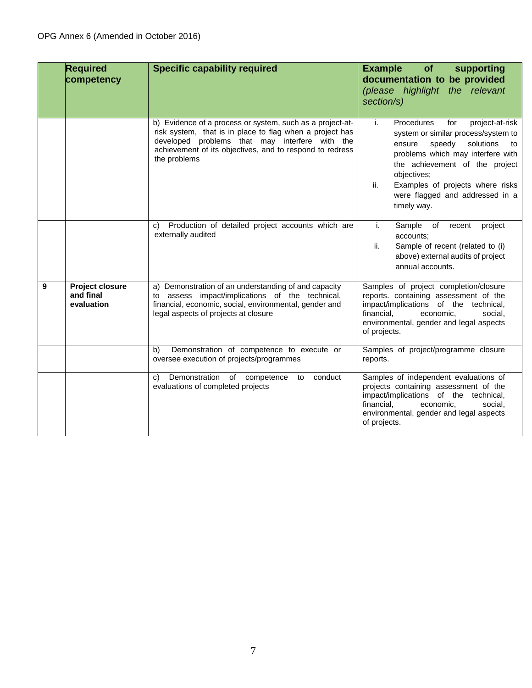|   | <b>Required</b><br>competency                     | <b>Specific capability required</b>                                                                                                                                                                                                                 | <b>Example</b><br>of<br>supporting<br>documentation to be provided<br>(please highlight the relevant<br>section/s)                                                                                                                                                                                          |
|---|---------------------------------------------------|-----------------------------------------------------------------------------------------------------------------------------------------------------------------------------------------------------------------------------------------------------|-------------------------------------------------------------------------------------------------------------------------------------------------------------------------------------------------------------------------------------------------------------------------------------------------------------|
|   |                                                   | b) Evidence of a process or system, such as a project-at-<br>risk system, that is in place to flag when a project has<br>developed problems that may interfere with the<br>achievement of its objectives, and to respond to redress<br>the problems | i.<br>Procedures<br>for<br>project-at-risk<br>system or similar process/system to<br>solutions<br>speedy<br>ensure<br>to<br>problems which may interfere with<br>the achievement of the project<br>objectives;<br>Examples of projects where risks<br>ii.<br>were flagged and addressed in a<br>timely way. |
|   |                                                   | Production of detailed project accounts which are<br>$\mathbf{C}$<br>externally audited                                                                                                                                                             | i.<br>Sample<br>of<br>project<br>recent<br>accounts:<br>Sample of recent (related to (i)<br>ii.<br>above) external audits of project<br>annual accounts.                                                                                                                                                    |
| 9 | <b>Project closure</b><br>and final<br>evaluation | a) Demonstration of an understanding of and capacity<br>to assess impact/implications of the technical,<br>financial, economic, social, environmental, gender and<br>legal aspects of projects at closure                                           | Samples of project completion/closure<br>reports. containing assessment of the<br>impact/implications of the technical,<br>financial,<br>economic.<br>social.<br>environmental, gender and legal aspects<br>of projects.                                                                                    |
|   |                                                   | Demonstration of competence to execute or<br>b)<br>oversee execution of projects/programmes                                                                                                                                                         | Samples of project/programme closure<br>reports.                                                                                                                                                                                                                                                            |
|   |                                                   | Demonstration of competence to<br>conduct<br>C)<br>evaluations of completed projects                                                                                                                                                                | Samples of independent evaluations of<br>projects containing assessment of the<br>impact/implications of the technical,<br>financial.<br>economic.<br>social,<br>environmental, gender and legal aspects<br>of projects.                                                                                    |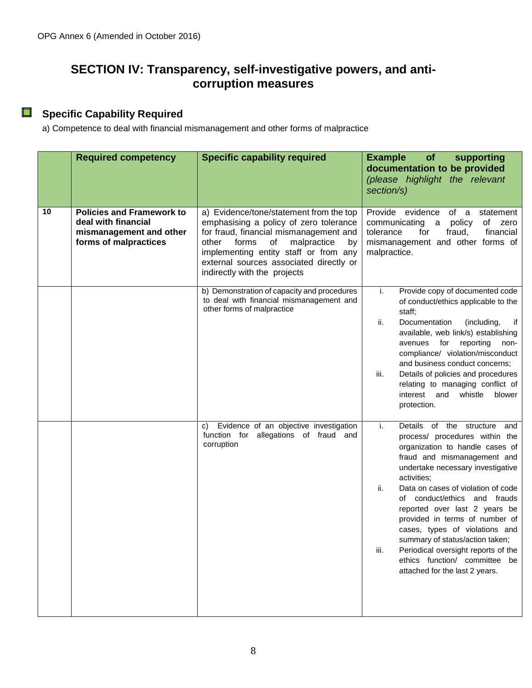## **SECTION IV: Transparency, self-investigative powers, and anticorruption measures**

#### **Specific Capability Required**

a) Competence to deal with financial mismanagement and other forms of malpractice

|    | <b>Required competency</b>                                                                                  | <b>Specific capability required</b>                                                                                                                                                                                                                                                          | <b>Example</b><br>of<br>supporting<br>documentation to be provided<br>(please highlight the relevant<br>section/s)                                                                                                                                                                                                                                                                                                                                                                                                                   |
|----|-------------------------------------------------------------------------------------------------------------|----------------------------------------------------------------------------------------------------------------------------------------------------------------------------------------------------------------------------------------------------------------------------------------------|--------------------------------------------------------------------------------------------------------------------------------------------------------------------------------------------------------------------------------------------------------------------------------------------------------------------------------------------------------------------------------------------------------------------------------------------------------------------------------------------------------------------------------------|
| 10 | <b>Policies and Framework to</b><br>deal with financial<br>mismanagement and other<br>forms of malpractices | a) Evidence/tone/statement from the top<br>emphasising a policy of zero tolerance<br>for fraud, financial mismanagement and<br>forms<br>of<br>malpractice<br>other<br>by<br>implementing entity staff or from any<br>external sources associated directly or<br>indirectly with the projects | Provide evidence<br>of a<br>statement<br>of zero<br>communicating a<br>policy<br>fraud,<br>financial<br>tolerance<br>for<br>mismanagement and other forms of<br>malpractice.                                                                                                                                                                                                                                                                                                                                                         |
|    |                                                                                                             | b) Demonstration of capacity and procedures<br>to deal with financial mismanagement and<br>other forms of malpractice                                                                                                                                                                        | Provide copy of documented code<br>i.<br>of conduct/ethics applicable to the<br>staff;<br>Documentation<br>ii.<br>(including,<br>if<br>available, web link/s) establishing<br>avenues<br>reporting<br>for<br>non-<br>compliance/ violation/misconduct<br>and business conduct concerns;<br>Details of policies and procedures<br>iii.<br>relating to managing conflict of<br>whistle<br>interest and<br>blower<br>protection.                                                                                                        |
|    |                                                                                                             | Evidence of an objective investigation<br>C)<br>function for allegations of fraud and<br>corruption                                                                                                                                                                                          | i.<br>Details of the structure<br>and<br>process/ procedures within the<br>organization to handle cases of<br>fraud and mismanagement and<br>undertake necessary investigative<br>activities;<br>Data on cases of violation of code<br>ii.<br>of conduct/ethics and frauds<br>reported over last 2 years be<br>provided in terms of number of<br>cases, types of violations and<br>summary of status/action taken;<br>iii.<br>Periodical oversight reports of the<br>ethics function/ committee be<br>attached for the last 2 years. |